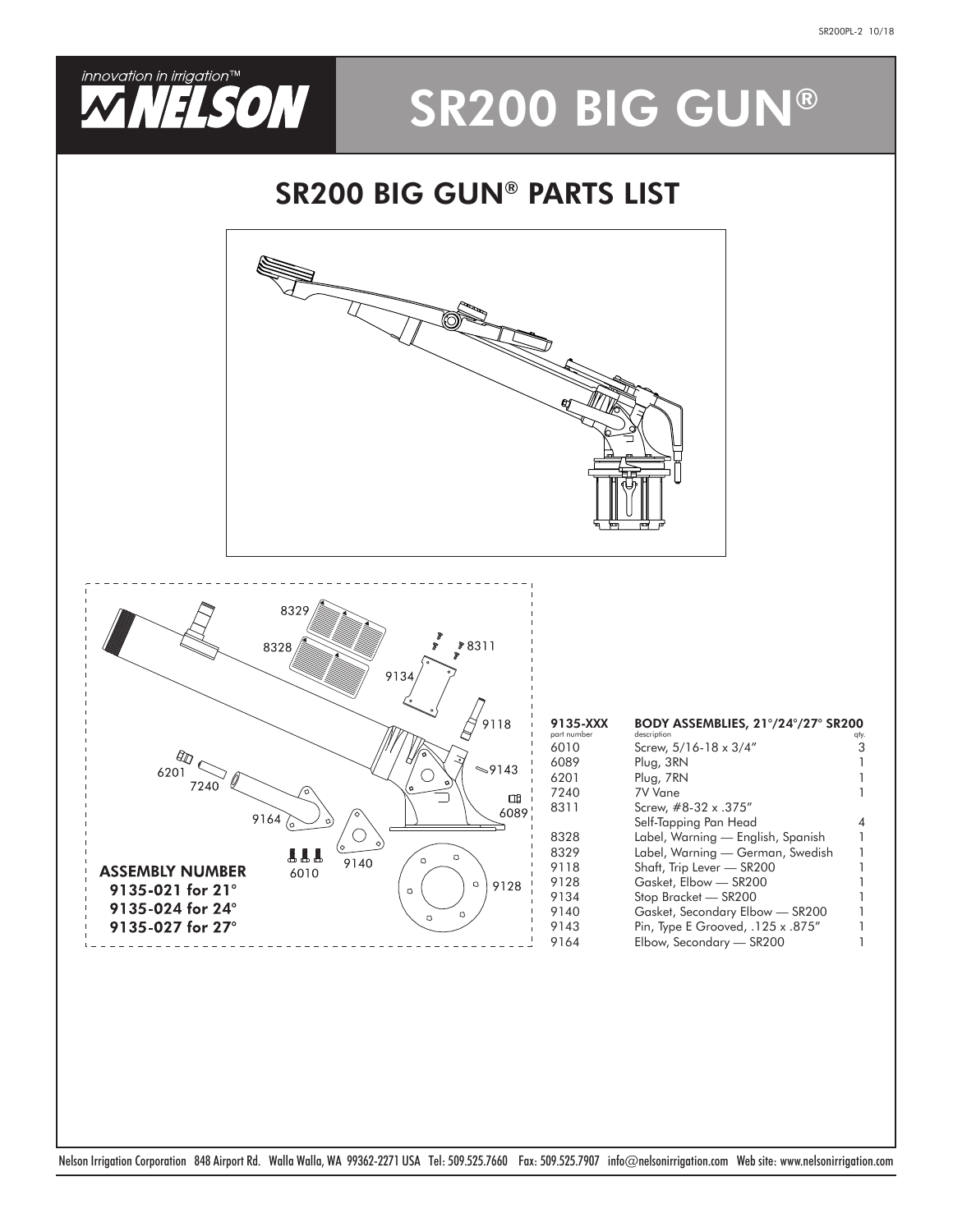

# SR200 BIG GUN®

#### SR200 BIG GUN® PARTS LIST



Nelson Irrigation Corporation 848 Airport Rd. Walla Walla, WA 99362-2271 USA Tel: 509.525.7660 Fax: 509.525.7907 info@nelsonirrigation.com Web site: www.nelsonirrigation.com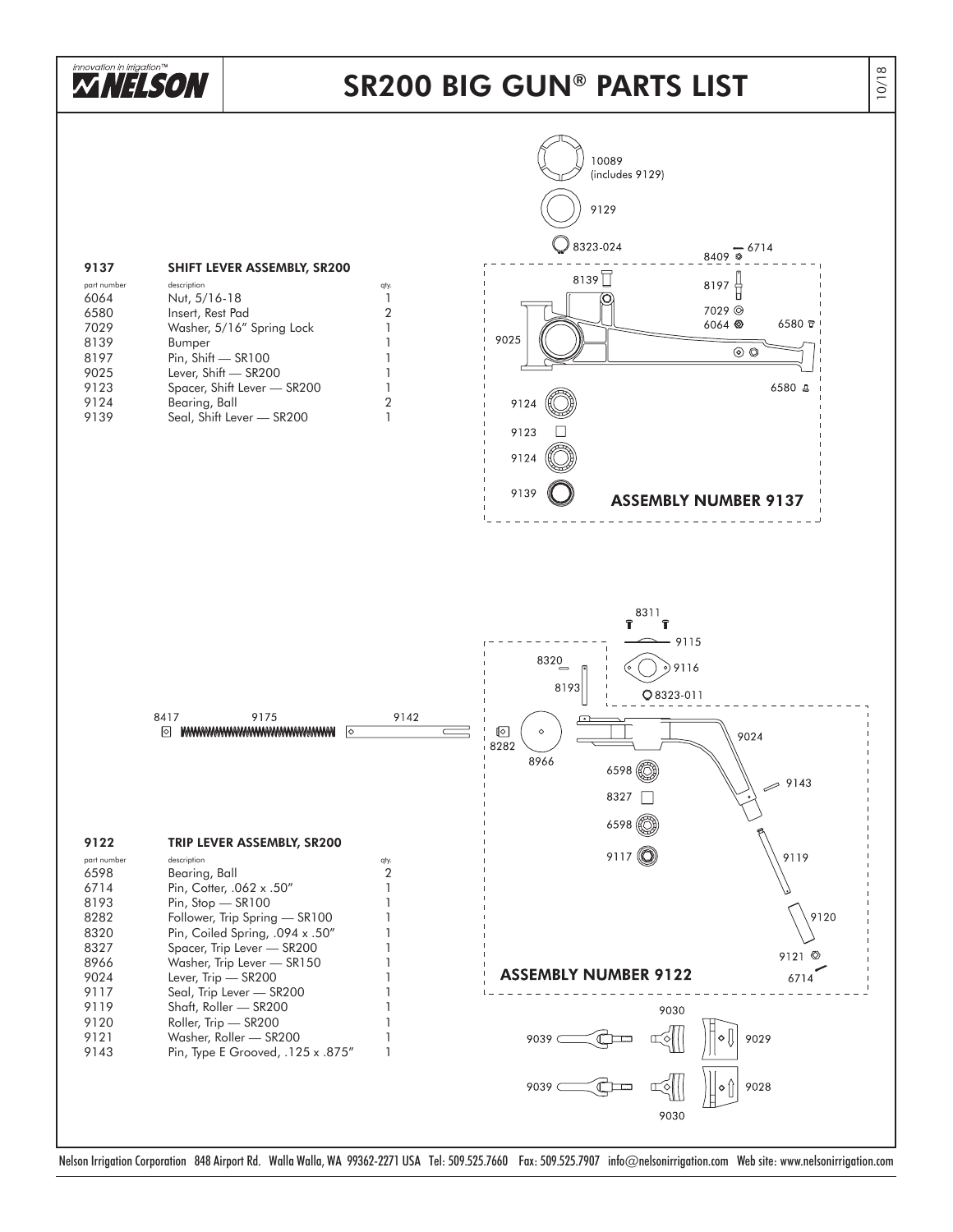

### SR200 BIG GUN ® PARTS LIST

10/18



Nelson Irrigation Corporation 848 Airport Rd. Walla Walla, WA 99362-2271 USA Tel: 509.525.7660 Fax: 509.525.7907 info@nelsonirrigation.com Web site: www.nelsonirrigation.com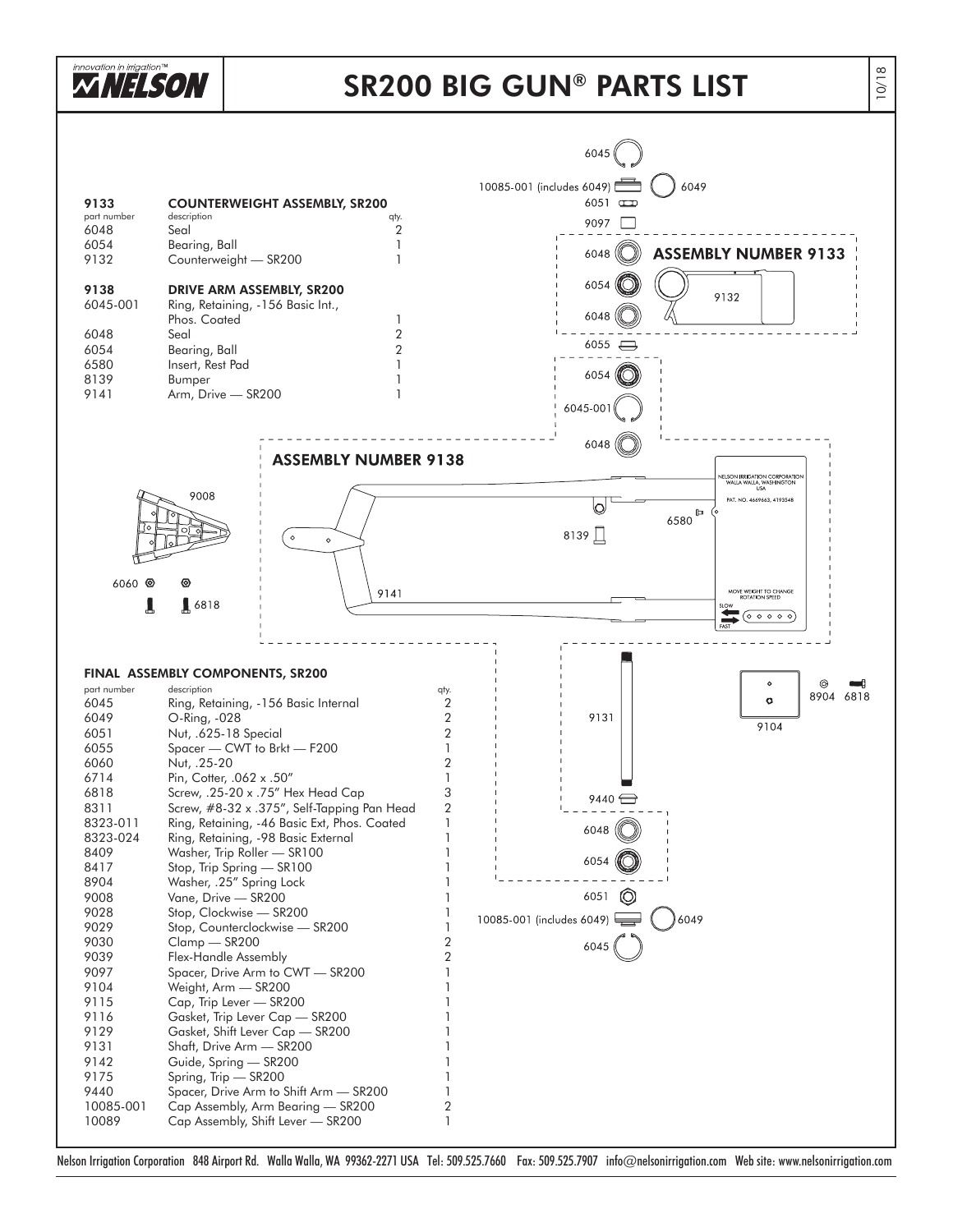

Nelson Irrigation Corporation 848 Airport Rd. Walla Walla, WA 99362-2271 USA Tel: 509.525.7660 Fax: 509.525.7907 info@nelsonirrigation.com Web site: www.nelsonirrigation.com